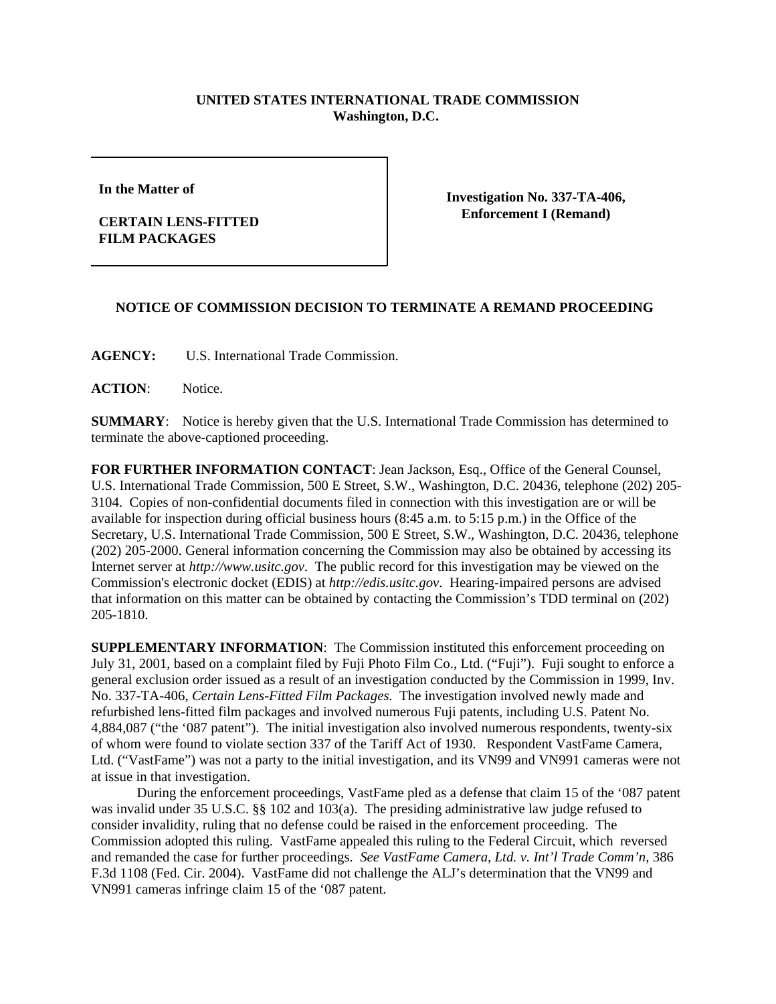## **UNITED STATES INTERNATIONAL TRADE COMMISSION Washington, D.C.**

**In the Matter of**

## **CERTAIN LENS-FITTED FILM PACKAGES**

**Investigation No. 337-TA-406, Enforcement I (Remand)**

## **NOTICE OF COMMISSION DECISION TO TERMINATE A REMAND PROCEEDING**

**AGENCY:** U.S. International Trade Commission.

**ACTION**: Notice.

**SUMMARY**: Notice is hereby given that the U.S. International Trade Commission has determined to terminate the above-captioned proceeding.

**FOR FURTHER INFORMATION CONTACT**: Jean Jackson, Esq., Office of the General Counsel, U.S. International Trade Commission, 500 E Street, S.W., Washington, D.C. 20436, telephone (202) 205- 3104. Copies of non-confidential documents filed in connection with this investigation are or will be available for inspection during official business hours (8:45 a.m. to 5:15 p.m.) in the Office of the Secretary, U.S. International Trade Commission, 500 E Street, S.W., Washington, D.C. 20436, telephone (202) 205-2000. General information concerning the Commission may also be obtained by accessing its Internet server at *http://www.usitc.gov*. The public record for this investigation may be viewed on the Commission's electronic docket (EDIS) at *http://edis.usitc.gov*. Hearing-impaired persons are advised that information on this matter can be obtained by contacting the Commission's TDD terminal on (202) 205-1810.

**SUPPLEMENTARY INFORMATION**: The Commission instituted this enforcement proceeding on July 31, 2001, based on a complaint filed by Fuji Photo Film Co., Ltd. ("Fuji"). Fuji sought to enforce a general exclusion order issued as a result of an investigation conducted by the Commission in 1999, Inv. No. 337-TA-406, *Certain Lens-Fitted Film Packages*. The investigation involved newly made and refurbished lens-fitted film packages and involved numerous Fuji patents, including U.S. Patent No. 4,884,087 ("the '087 patent"). The initial investigation also involved numerous respondents, twenty-six of whom were found to violate section 337 of the Tariff Act of 1930. Respondent VastFame Camera, Ltd. ("VastFame") was not a party to the initial investigation, and its VN99 and VN991 cameras were not at issue in that investigation.

During the enforcement proceedings, VastFame pled as a defense that claim 15 of the '087 patent was invalid under 35 U.S.C. §§ 102 and 103(a). The presiding administrative law judge refused to consider invalidity, ruling that no defense could be raised in the enforcement proceeding. The Commission adopted this ruling. VastFame appealed this ruling to the Federal Circuit, which reversed and remanded the case for further proceedings. *See VastFame Camera, Ltd. v. Int'l Trade Comm'n*, 386 F.3d 1108 (Fed. Cir. 2004). VastFame did not challenge the ALJ's determination that the VN99 and VN991 cameras infringe claim 15 of the '087 patent.